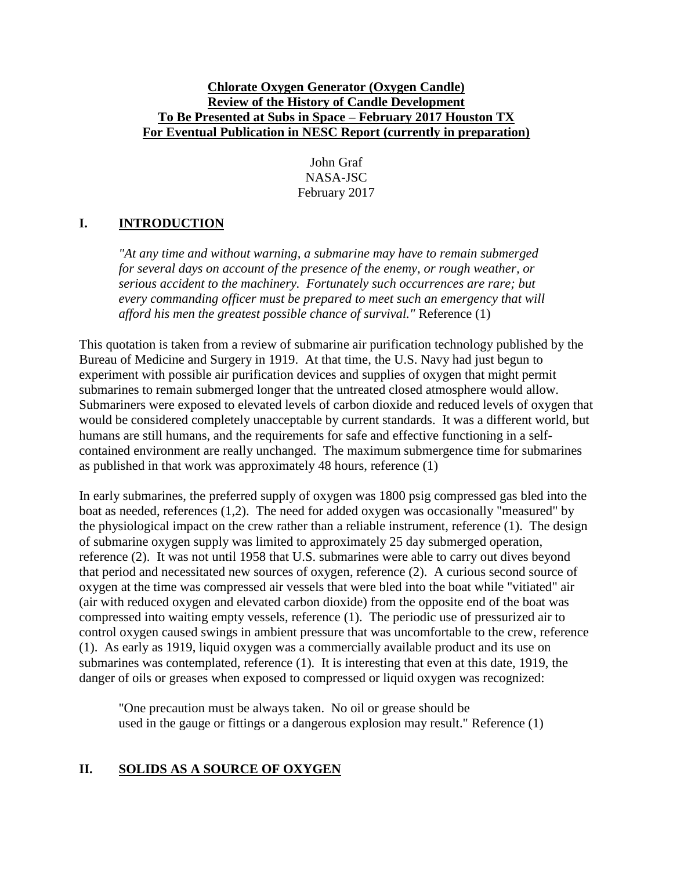### **Chlorate Oxygen Generator (Oxygen Candle) Review of the History of Candle Development To Be Presented at Subs in Space – February 2017 Houston TX For Eventual Publication in NESC Report (currently in preparation)**

John Graf NASA-JSC February 2017

# **I. INTRODUCTION**

*"At any time and without warning, a submarine may have to remain submerged for several days on account of the presence of the enemy, or rough weather, or serious accident to the machinery. Fortunately such occurrences are rare; but every commanding officer must be prepared to meet such an emergency that will afford his men the greatest possible chance of survival."* Reference (1)

This quotation is taken from a review of submarine air purification technology published by the Bureau of Medicine and Surgery in 1919. At that time, the U.S. Navy had just begun to experiment with possible air purification devices and supplies of oxygen that might permit submarines to remain submerged longer that the untreated closed atmosphere would allow. Submariners were exposed to elevated levels of carbon dioxide and reduced levels of oxygen that would be considered completely unacceptable by current standards. It was a different world, but humans are still humans, and the requirements for safe and effective functioning in a selfcontained environment are really unchanged. The maximum submergence time for submarines as published in that work was approximately 48 hours, reference (1)

In early submarines, the preferred supply of oxygen was 1800 psig compressed gas bled into the boat as needed, references (1,2). The need for added oxygen was occasionally "measured" by the physiological impact on the crew rather than a reliable instrument, reference (1). The design of submarine oxygen supply was limited to approximately 25 day submerged operation, reference (2). It was not until 1958 that U.S. submarines were able to carry out dives beyond that period and necessitated new sources of oxygen, reference (2). A curious second source of oxygen at the time was compressed air vessels that were bled into the boat while "vitiated" air (air with reduced oxygen and elevated carbon dioxide) from the opposite end of the boat was compressed into waiting empty vessels, reference (1). The periodic use of pressurized air to control oxygen caused swings in ambient pressure that was uncomfortable to the crew, reference (1). As early as 1919, liquid oxygen was a commercially available product and its use on submarines was contemplated, reference (1). It is interesting that even at this date, 1919, the danger of oils or greases when exposed to compressed or liquid oxygen was recognized:

"One precaution must be always taken. No oil or grease should be used in the gauge or fittings or a dangerous explosion may result." Reference (1)

## **II. SOLIDS AS A SOURCE OF OXYGEN**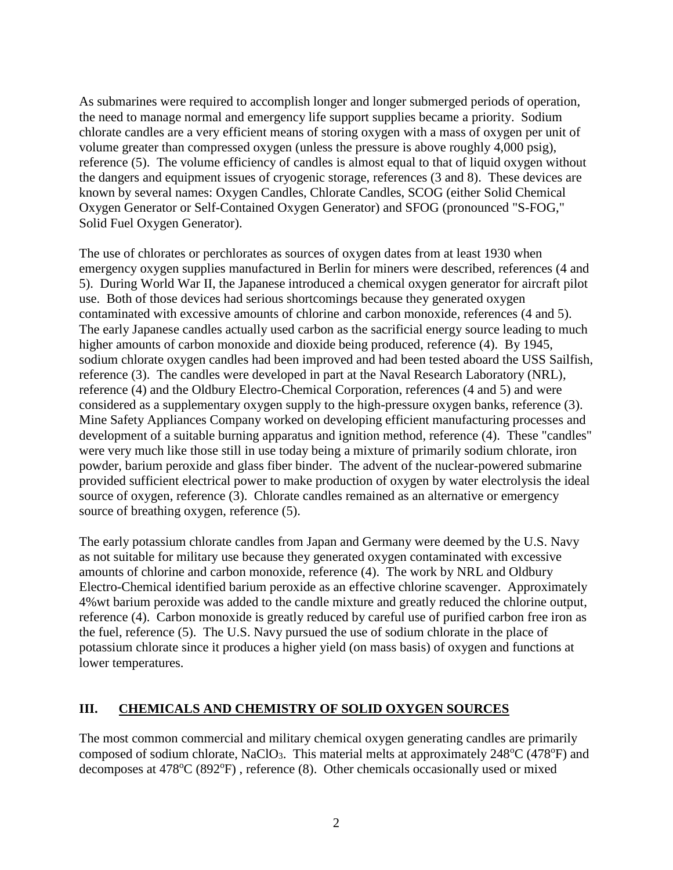As submarines were required to accomplish longer and longer submerged periods of operation, the need to manage normal and emergency life support supplies became a priority. Sodium chlorate candles are a very efficient means of storing oxygen with a mass of oxygen per unit of volume greater than compressed oxygen (unless the pressure is above roughly 4,000 psig), reference (5). The volume efficiency of candles is almost equal to that of liquid oxygen without the dangers and equipment issues of cryogenic storage, references (3 and 8). These devices are known by several names: Oxygen Candles, Chlorate Candles, SCOG (either Solid Chemical Oxygen Generator or Self-Contained Oxygen Generator) and SFOG (pronounced "S-FOG," Solid Fuel Oxygen Generator).

The use of chlorates or perchlorates as sources of oxygen dates from at least 1930 when emergency oxygen supplies manufactured in Berlin for miners were described, references (4 and 5). During World War II, the Japanese introduced a chemical oxygen generator for aircraft pilot use. Both of those devices had serious shortcomings because they generated oxygen contaminated with excessive amounts of chlorine and carbon monoxide, references (4 and 5). The early Japanese candles actually used carbon as the sacrificial energy source leading to much higher amounts of carbon monoxide and dioxide being produced, reference (4). By 1945, sodium chlorate oxygen candles had been improved and had been tested aboard the USS Sailfish, reference (3). The candles were developed in part at the Naval Research Laboratory (NRL), reference (4) and the Oldbury Electro-Chemical Corporation, references (4 and 5) and were considered as a supplementary oxygen supply to the high-pressure oxygen banks, reference (3). Mine Safety Appliances Company worked on developing efficient manufacturing processes and development of a suitable burning apparatus and ignition method, reference (4). These "candles" were very much like those still in use today being a mixture of primarily sodium chlorate, iron powder, barium peroxide and glass fiber binder. The advent of the nuclear-powered submarine provided sufficient electrical power to make production of oxygen by water electrolysis the ideal source of oxygen, reference (3). Chlorate candles remained as an alternative or emergency source of breathing oxygen, reference (5).

The early potassium chlorate candles from Japan and Germany were deemed by the U.S. Navy as not suitable for military use because they generated oxygen contaminated with excessive amounts of chlorine and carbon monoxide, reference (4). The work by NRL and Oldbury Electro-Chemical identified barium peroxide as an effective chlorine scavenger. Approximately 4%wt barium peroxide was added to the candle mixture and greatly reduced the chlorine output, reference (4). Carbon monoxide is greatly reduced by careful use of purified carbon free iron as the fuel, reference (5). The U.S. Navy pursued the use of sodium chlorate in the place of potassium chlorate since it produces a higher yield (on mass basis) of oxygen and functions at lower temperatures.

### **III. CHEMICALS AND CHEMISTRY OF SOLID OXYGEN SOURCES**

The most common commercial and military chemical oxygen generating candles are primarily composed of sodium chlorate, NaClO<sub>3</sub>. This material melts at approximately  $248^{\circ}C$  (478 $^{\circ}F$ ) and decomposes at  $478^{\circ}C (892^{\circ}F)$ , reference (8). Other chemicals occasionally used or mixed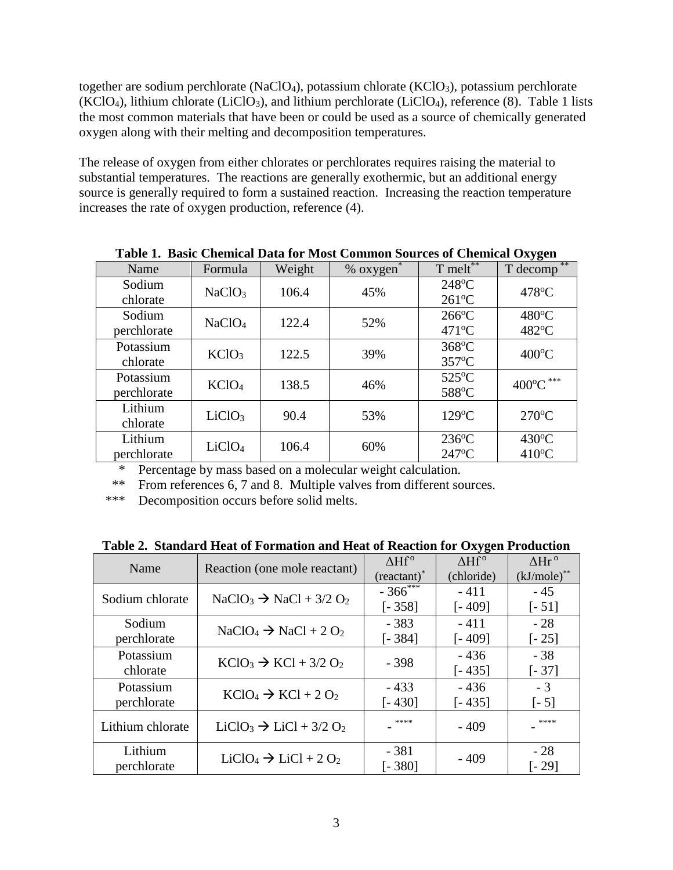together are sodium perchlorate (NaClO<sub>4</sub>), potassium chlorate (KClO<sub>3</sub>), potassium perchlorate (KClO4), lithium chlorate (LiClO3), and lithium perchlorate (LiClO4), reference (8). Table 1 lists the most common materials that have been or could be used as a source of chemically generated oxygen along with their melting and decomposition temperatures.

The release of oxygen from either chlorates or perchlorates requires raising the material to substantial temperatures. The reactions are generally exothermic, but an additional energy source is generally required to form a sustained reaction. Increasing the reaction temperature increases the rate of oxygen production, reference (4).

| Table 1. Dasie Unenneal Data für Most Common Dources of Unenneal Oxygen |                    |        |                |                                    |                                    |
|-------------------------------------------------------------------------|--------------------|--------|----------------|------------------------------------|------------------------------------|
| Name                                                                    | Formula            | Weight | $%$ oxygen $*$ | T melt**                           | **<br>T decomp                     |
| Sodium<br>chlorate                                                      | NaClO <sub>3</sub> | 106.4  | 45%            | $248^{\circ}$ C<br>$261^{\circ}$ C | 478°C                              |
| Sodium<br>perchlorate                                                   | NaClO <sub>4</sub> | 122.4  | 52%            | $266^{\circ}$ C<br>$471^{\circ}$ C | 480°C<br>482°C                     |
| Potassium<br>chlorate                                                   | KClO <sub>3</sub>  | 122.5  | 39%            | 368°C<br>357°C                     | $400^{\circ}$ C                    |
| Potassium<br>perchlorate                                                | KClO <sub>4</sub>  | 138.5  | 46%            | 525°C<br>588°C                     | $400^{\circ}$ C ***                |
| Lithium<br>chlorate                                                     | LiClO <sub>3</sub> | 90.4   | 53%            | $129^{\circ}$ C                    | $270^{\circ}$ C                    |
| Lithium<br>perchlorate                                                  | LiClO <sub>4</sub> | 106.4  | 60%            | $236^{\circ}$ C<br>247°C           | $430^{\circ}$ C<br>$410^{\circ}$ C |

**Table 1. Basic Chemical Data for Most Common Sources of Chemical Oxygen**

\* Percentage by mass based on a molecular weight calculation.

\*\* From references 6, 7 and 8. Multiple valves from different sources.

\*\*\* Decomposition occurs before solid melts.

|  |  |  |  |  | Table 2. Standard Heat of Formation and Heat of Reaction for Oxygen Production |
|--|--|--|--|--|--------------------------------------------------------------------------------|
|--|--|--|--|--|--------------------------------------------------------------------------------|

| Name                   | Reaction (one mole reactant)       | $\Delta Hf^{\circ}$<br>$(reactant)^*$ | $\Delta Hf^{\circ}$<br>(chloride) | $\Delta Hr^{\rm o}$<br>$(kJ/mole)$ ** |
|------------------------|------------------------------------|---------------------------------------|-----------------------------------|---------------------------------------|
| Sodium chlorate        | $NaClO3 \rightarrow NaCl + 3/2 O2$ | $-366$ ***                            | $-411$                            | $-45$                                 |
|                        |                                    | $[-358]$                              | $[-409]$                          | $[-51]$                               |
| Sodium                 | $NaClO4 \rightarrow NaCl + 2 O2$   | $-383$                                | $-411$                            | $-28$                                 |
| perchlorate            |                                    | $[-384]$                              | $[-409]$                          | $[-25]$                               |
| Potassium              | $KClO3 \rightarrow KCl + 3/2 O2$   | - 398                                 | $-436$                            | $-38$                                 |
| chlorate               |                                    |                                       | $[-435]$                          | $[-37]$                               |
| Potassium              | $KClO4 \rightarrow KCl + 2 O2$     | $-433$                                | $-436$                            | $-3$                                  |
| perchlorate            |                                    | [- 430]                               | $[-435]$                          | $[-5]$                                |
| Lithium chlorate       | $LiClO3 \rightarrow LiCl + 3/2 O2$ | ****                                  | $-409$                            | ****                                  |
| Lithium<br>perchlorate | $LiClO4 \rightarrow LiCl + 2 O2$   | $-381$<br>$[-380]$                    | $-409$                            | $-28$<br>[- 29]                       |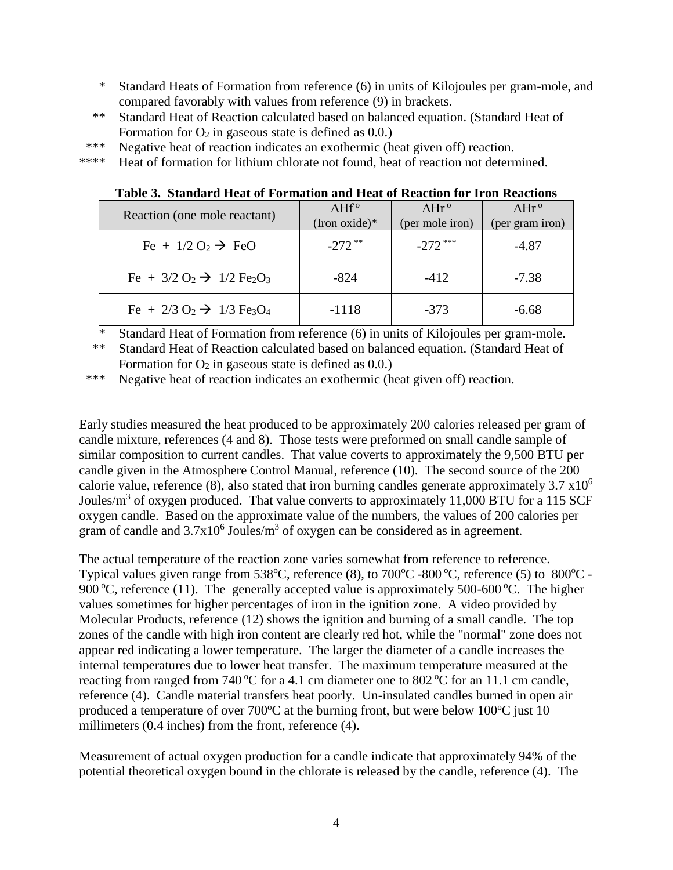- \* Standard Heats of Formation from reference (6) in units of Kilojoules per gram-mole, and compared favorably with values from reference (9) in brackets.
- \*\* Standard Heat of Reaction calculated based on balanced equation. (Standard Heat of Formation for  $O_2$  in gaseous state is defined as 0.0.)
- \*\*\* Negative heat of reaction indicates an exothermic (heat given off) reaction.
- \*\*\*\* Heat of formation for lithium chlorate not found, heat of reaction not determined.

**Table 3. Standard Heat of Formation and Heat of Reaction for Iron Reactions**

| Reaction (one mole reactant)                                               | $\Delta Hf^{\circ}$ | $\Lambda Hr^0$  | $\Lambda$ Hr <sup>o</sup> |
|----------------------------------------------------------------------------|---------------------|-----------------|---------------------------|
|                                                                            | (Iron oxide) $*$    | (per mole iron) | (per gram iron)           |
| Fe + $1/2$ O <sub>2</sub> $\rightarrow$ FeO                                | $-272$ **           | $-272$ ***      | $-4.87$                   |
| Fe + $3/2$ O <sub>2</sub> $\rightarrow$ 1/2 Fe <sub>2</sub> O <sub>3</sub> | -824                | $-412$          | $-7.38$                   |
| Fe + 2/3 O <sub>2</sub> $\rightarrow$ 1/3 Fe <sub>3</sub> O <sub>4</sub>   | $-1118$             | $-373$          | $-6.68$                   |

<sup>\*</sup> Standard Heat of Formation from reference (6) in units of Kilojoules per gram-mole.

\*\* Standard Heat of Reaction calculated based on balanced equation. (Standard Heat of Formation for  $O_2$  in gaseous state is defined as 0.0.)

\*\*\* Negative heat of reaction indicates an exothermic (heat given off) reaction.

Early studies measured the heat produced to be approximately 200 calories released per gram of candle mixture, references (4 and 8). Those tests were preformed on small candle sample of similar composition to current candles. That value coverts to approximately the 9,500 BTU per candle given in the Atmosphere Control Manual, reference (10). The second source of the 200 calorie value, reference (8), also stated that iron burning candles generate approximately  $3.7 \times 10^6$ Joules/m<sup>3</sup> of oxygen produced. That value converts to approximately 11,000 BTU for a 115 SCF oxygen candle. Based on the approximate value of the numbers, the values of 200 calories per gram of candle and  $3.7x10^6$  Joules/m<sup>3</sup> of oxygen can be considered as in agreement.

The actual temperature of the reaction zone varies somewhat from reference to reference. Typical values given range from  $538^{\circ}$ C, reference (8), to  $700^{\circ}$ C -800  $^{\circ}$ C, reference (5) to  $800^{\circ}$ C -900 °C, reference (11). The generally accepted value is approximately 500-600 °C. The higher values sometimes for higher percentages of iron in the ignition zone. A video provided by Molecular Products, reference (12) shows the ignition and burning of a small candle. The top zones of the candle with high iron content are clearly red hot, while the "normal" zone does not appear red indicating a lower temperature. The larger the diameter of a candle increases the internal temperatures due to lower heat transfer. The maximum temperature measured at the reacting from ranged from 740 °C for a 4.1 cm diameter one to 802 °C for an 11.1 cm candle, reference (4). Candle material transfers heat poorly. Un-insulated candles burned in open air produced a temperature of over  $700^{\circ}$ C at the burning front, but were below  $100^{\circ}$ C just 10 millimeters (0.4 inches) from the front, reference (4).

Measurement of actual oxygen production for a candle indicate that approximately 94% of the potential theoretical oxygen bound in the chlorate is released by the candle, reference (4). The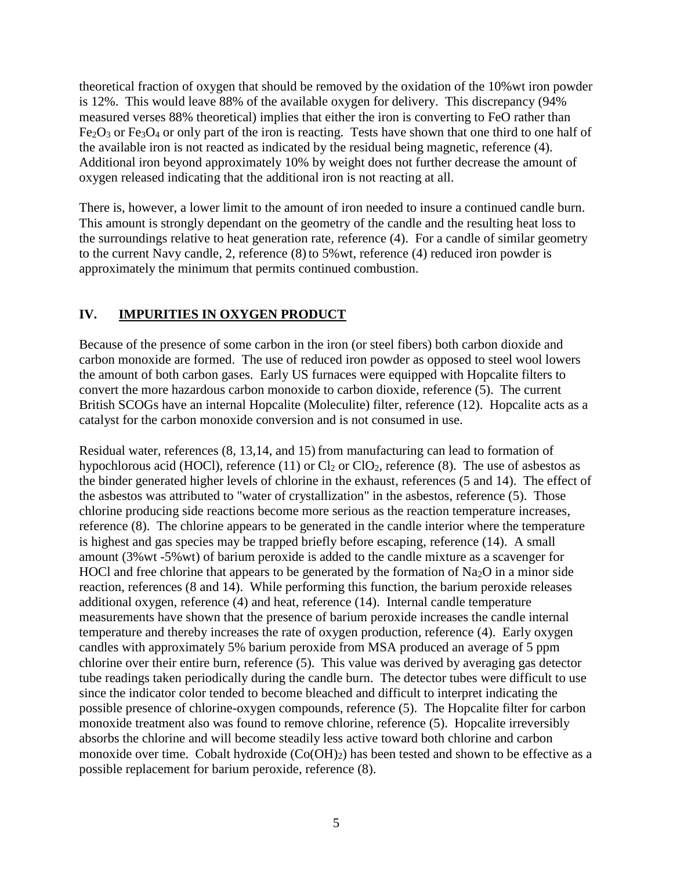theoretical fraction of oxygen that should be removed by the oxidation of the 10%wt iron powder is 12%. This would leave 88% of the available oxygen for delivery. This discrepancy (94% measured verses 88% theoretical) implies that either the iron is converting to FeO rather than  $Fe<sub>2</sub>O<sub>3</sub>$  or  $Fe<sub>3</sub>O<sub>4</sub>$  or only part of the iron is reacting. Tests have shown that one third to one half of the available iron is not reacted as indicated by the residual being magnetic, reference (4). Additional iron beyond approximately 10% by weight does not further decrease the amount of oxygen released indicating that the additional iron is not reacting at all.

There is, however, a lower limit to the amount of iron needed to insure a continued candle burn. This amount is strongly dependant on the geometry of the candle and the resulting heat loss to the surroundings relative to heat generation rate, reference (4). For a candle of similar geometry to the current Navy candle, 2, reference (8) to 5%wt, reference (4) reduced iron powder is approximately the minimum that permits continued combustion.

### **IV. IMPURITIES IN OXYGEN PRODUCT**

Because of the presence of some carbon in the iron (or steel fibers) both carbon dioxide and carbon monoxide are formed. The use of reduced iron powder as opposed to steel wool lowers the amount of both carbon gases. Early US furnaces were equipped with Hopcalite filters to convert the more hazardous carbon monoxide to carbon dioxide, reference (5). The current British SCOGs have an internal Hopcalite (Moleculite) filter, reference (12). Hopcalite acts as a catalyst for the carbon monoxide conversion and is not consumed in use.

Residual water, references (8, 13,14, and 15) from manufacturing can lead to formation of hypochlorous acid (HOCl), reference (11) or  $Cl_2$  or  $ClO_2$ , reference (8). The use of asbestos as the binder generated higher levels of chlorine in the exhaust, references (5 and 14). The effect of the asbestos was attributed to "water of crystallization" in the asbestos, reference (5). Those chlorine producing side reactions become more serious as the reaction temperature increases, reference (8). The chlorine appears to be generated in the candle interior where the temperature is highest and gas species may be trapped briefly before escaping, reference (14). A small amount (3%wt -5%wt) of barium peroxide is added to the candle mixture as a scavenger for HOCl and free chlorine that appears to be generated by the formation of  $Na<sub>2</sub>O$  in a minor side reaction, references (8 and 14). While performing this function, the barium peroxide releases additional oxygen, reference (4) and heat, reference (14). Internal candle temperature measurements have shown that the presence of barium peroxide increases the candle internal temperature and thereby increases the rate of oxygen production, reference (4). Early oxygen candles with approximately 5% barium peroxide from MSA produced an average of 5 ppm chlorine over their entire burn, reference (5). This value was derived by averaging gas detector tube readings taken periodically during the candle burn. The detector tubes were difficult to use since the indicator color tended to become bleached and difficult to interpret indicating the possible presence of chlorine-oxygen compounds, reference (5). The Hopcalite filter for carbon monoxide treatment also was found to remove chlorine, reference (5). Hopcalite irreversibly absorbs the chlorine and will become steadily less active toward both chlorine and carbon monoxide over time. Cobalt hydroxide  $(Co(OH)_2)$  has been tested and shown to be effective as a possible replacement for barium peroxide, reference (8).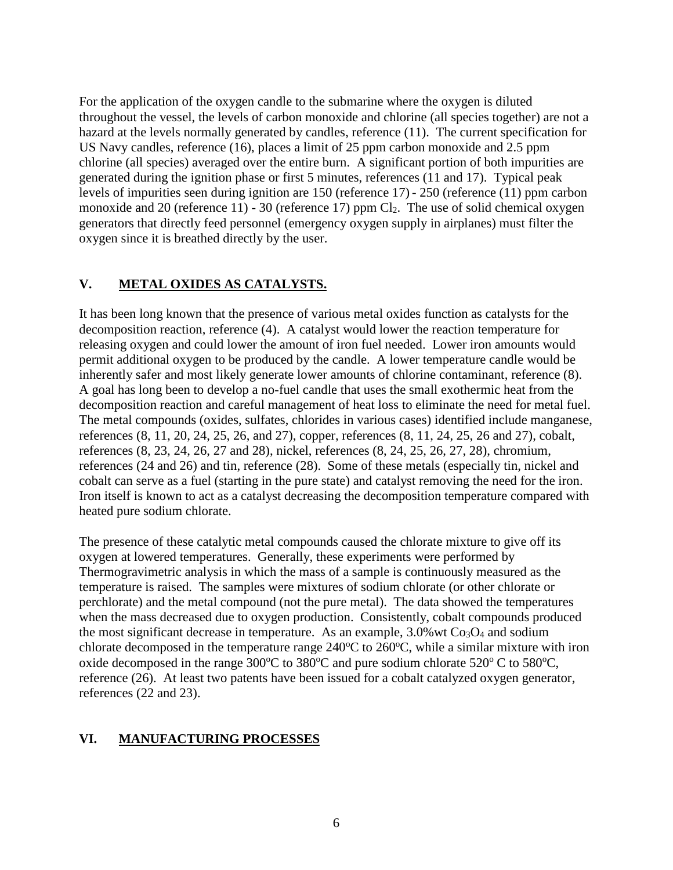For the application of the oxygen candle to the submarine where the oxygen is diluted throughout the vessel, the levels of carbon monoxide and chlorine (all species together) are not a hazard at the levels normally generated by candles, reference (11). The current specification for US Navy candles, reference (16), places a limit of 25 ppm carbon monoxide and 2.5 ppm chlorine (all species) averaged over the entire burn. A significant portion of both impurities are generated during the ignition phase or first 5 minutes, references (11 and 17). Typical peak levels of impurities seen during ignition are 150 (reference 17) - 250 (reference (11) ppm carbon monoxide and 20 (reference 11) - 30 (reference 17) ppm  $Cl_2$ . The use of solid chemical oxygen generators that directly feed personnel (emergency oxygen supply in airplanes) must filter the oxygen since it is breathed directly by the user.

## **V. METAL OXIDES AS CATALYSTS.**

It has been long known that the presence of various metal oxides function as catalysts for the decomposition reaction, reference (4). A catalyst would lower the reaction temperature for releasing oxygen and could lower the amount of iron fuel needed. Lower iron amounts would permit additional oxygen to be produced by the candle. A lower temperature candle would be inherently safer and most likely generate lower amounts of chlorine contaminant, reference (8). A goal has long been to develop a no-fuel candle that uses the small exothermic heat from the decomposition reaction and careful management of heat loss to eliminate the need for metal fuel. The metal compounds (oxides, sulfates, chlorides in various cases) identified include manganese, references (8, 11, 20, 24, 25, 26, and 27), copper, references (8, 11, 24, 25, 26 and 27), cobalt, references (8, 23, 24, 26, 27 and 28), nickel, references (8, 24, 25, 26, 27, 28), chromium, references (24 and 26) and tin, reference (28). Some of these metals (especially tin, nickel and cobalt can serve as a fuel (starting in the pure state) and catalyst removing the need for the iron. Iron itself is known to act as a catalyst decreasing the decomposition temperature compared with heated pure sodium chlorate.

The presence of these catalytic metal compounds caused the chlorate mixture to give off its oxygen at lowered temperatures. Generally, these experiments were performed by Thermogravimetric analysis in which the mass of a sample is continuously measured as the temperature is raised. The samples were mixtures of sodium chlorate (or other chlorate or perchlorate) and the metal compound (not the pure metal). The data showed the temperatures when the mass decreased due to oxygen production. Consistently, cobalt compounds produced the most significant decrease in temperature. As an example,  $3.0\%$  wt Co<sub>3</sub>O<sub>4</sub> and sodium chlorate decomposed in the temperature range  $240^{\circ}$ C to  $260^{\circ}$ C, while a similar mixture with iron oxide decomposed in the range 300 $^{\circ}$ C to 380 $^{\circ}$ C and pure sodium chlorate 520 $^{\circ}$ C to 580 $^{\circ}$ C, reference (26). At least two patents have been issued for a cobalt catalyzed oxygen generator, references (22 and 23).

### **VI. MANUFACTURING PROCESSES**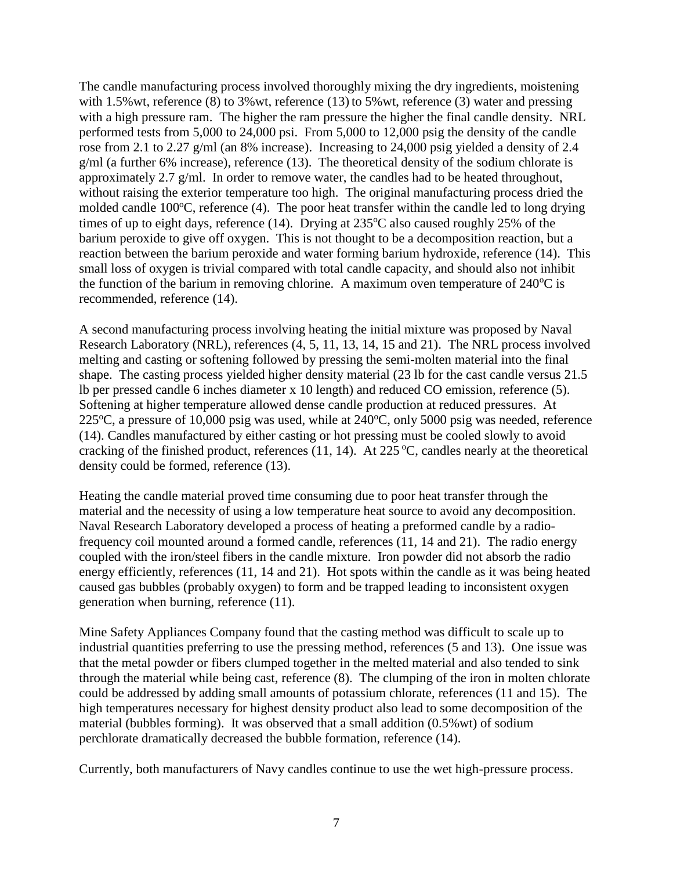The candle manufacturing process involved thoroughly mixing the dry ingredients, moistening with 1.5% wt, reference (8) to 3% wt, reference (13) to 5% wt, reference (3) water and pressing with a high pressure ram. The higher the ram pressure the higher the final candle density. NRL performed tests from 5,000 to 24,000 psi. From 5,000 to 12,000 psig the density of the candle rose from 2.1 to 2.27 g/ml (an 8% increase). Increasing to 24,000 psig yielded a density of 2.4 g/ml (a further 6% increase), reference (13). The theoretical density of the sodium chlorate is approximately 2.7 g/ml. In order to remove water, the candles had to be heated throughout, without raising the exterior temperature too high. The original manufacturing process dried the molded candle  $100^{\circ}$ C, reference (4). The poor heat transfer within the candle led to long drying times of up to eight days, reference (14). Drying at  $235^{\circ}$ C also caused roughly 25% of the barium peroxide to give off oxygen. This is not thought to be a decomposition reaction, but a reaction between the barium peroxide and water forming barium hydroxide, reference (14). This small loss of oxygen is trivial compared with total candle capacity, and should also not inhibit the function of the barium in removing chlorine. A maximum oven temperature of  $240^{\circ}$ C is recommended, reference (14).

A second manufacturing process involving heating the initial mixture was proposed by Naval Research Laboratory (NRL), references (4, 5, 11, 13, 14, 15 and 21). The NRL process involved melting and casting or softening followed by pressing the semi-molten material into the final shape. The casting process yielded higher density material (23 lb for the cast candle versus 21.5 lb per pressed candle 6 inches diameter x 10 length) and reduced CO emission, reference (5). Softening at higher temperature allowed dense candle production at reduced pressures. At  $225^{\circ}$ C, a pressure of 10,000 psig was used, while at  $240^{\circ}$ C, only 5000 psig was needed, reference (14). Candles manufactured by either casting or hot pressing must be cooled slowly to avoid cracking of the finished product, references (11, 14). At  $225^{\circ}$ C, candles nearly at the theoretical density could be formed, reference (13).

Heating the candle material proved time consuming due to poor heat transfer through the material and the necessity of using a low temperature heat source to avoid any decomposition. Naval Research Laboratory developed a process of heating a preformed candle by a radiofrequency coil mounted around a formed candle, references (11, 14 and 21). The radio energy coupled with the iron/steel fibers in the candle mixture. Iron powder did not absorb the radio energy efficiently, references (11, 14 and 21). Hot spots within the candle as it was being heated caused gas bubbles (probably oxygen) to form and be trapped leading to inconsistent oxygen generation when burning, reference (11).

Mine Safety Appliances Company found that the casting method was difficult to scale up to industrial quantities preferring to use the pressing method, references (5 and 13). One issue was that the metal powder or fibers clumped together in the melted material and also tended to sink through the material while being cast, reference (8). The clumping of the iron in molten chlorate could be addressed by adding small amounts of potassium chlorate, references (11 and 15). The high temperatures necessary for highest density product also lead to some decomposition of the material (bubbles forming). It was observed that a small addition (0.5%wt) of sodium perchlorate dramatically decreased the bubble formation, reference (14).

Currently, both manufacturers of Navy candles continue to use the wet high-pressure process.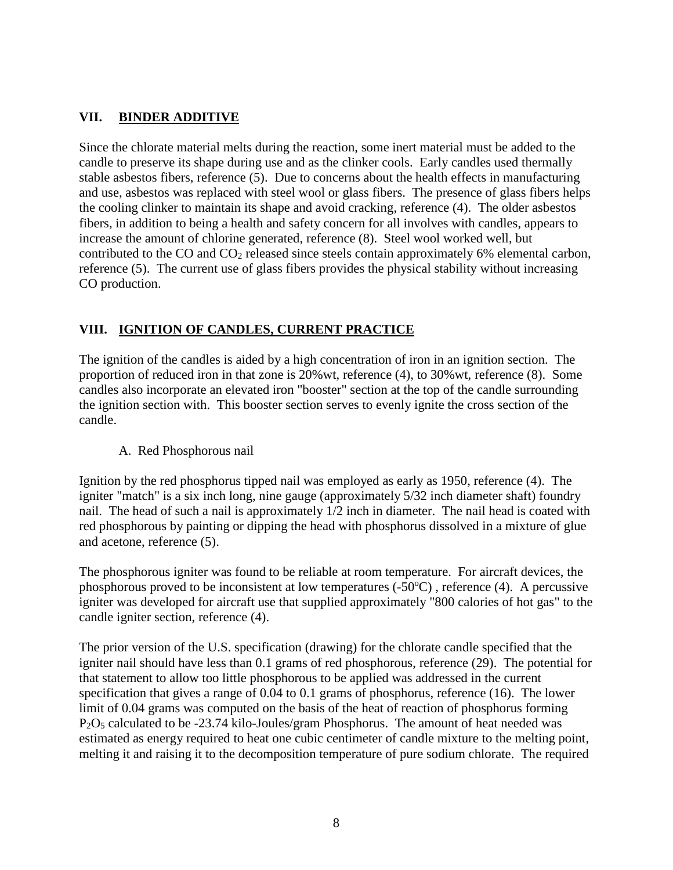### **VII. BINDER ADDITIVE**

Since the chlorate material melts during the reaction, some inert material must be added to the candle to preserve its shape during use and as the clinker cools. Early candles used thermally stable asbestos fibers, reference (5). Due to concerns about the health effects in manufacturing and use, asbestos was replaced with steel wool or glass fibers. The presence of glass fibers helps the cooling clinker to maintain its shape and avoid cracking, reference (4). The older asbestos fibers, in addition to being a health and safety concern for all involves with candles, appears to increase the amount of chlorine generated, reference (8). Steel wool worked well, but contributed to the CO and CO<sup>2</sup> released since steels contain approximately 6% elemental carbon, reference (5). The current use of glass fibers provides the physical stability without increasing CO production.

### **VIII. IGNITION OF CANDLES, CURRENT PRACTICE**

The ignition of the candles is aided by a high concentration of iron in an ignition section. The proportion of reduced iron in that zone is 20%wt, reference (4), to 30%wt, reference (8). Some candles also incorporate an elevated iron "booster" section at the top of the candle surrounding the ignition section with. This booster section serves to evenly ignite the cross section of the candle.

### A. Red Phosphorous nail

Ignition by the red phosphorus tipped nail was employed as early as 1950, reference (4). The igniter "match" is a six inch long, nine gauge (approximately 5/32 inch diameter shaft) foundry nail. The head of such a nail is approximately 1/2 inch in diameter. The nail head is coated with red phosphorous by painting or dipping the head with phosphorus dissolved in a mixture of glue and acetone, reference (5).

The phosphorous igniter was found to be reliable at room temperature. For aircraft devices, the phosphorous proved to be inconsistent at low temperatures  $(-50^{\circ}C)$ , reference (4). A percussive igniter was developed for aircraft use that supplied approximately "800 calories of hot gas" to the candle igniter section, reference (4).

The prior version of the U.S. specification (drawing) for the chlorate candle specified that the igniter nail should have less than 0.1 grams of red phosphorous, reference (29). The potential for that statement to allow too little phosphorous to be applied was addressed in the current specification that gives a range of 0.04 to 0.1 grams of phosphorus, reference (16). The lower limit of 0.04 grams was computed on the basis of the heat of reaction of phosphorus forming P2O<sup>5</sup> calculated to be -23.74 kilo-Joules/gram Phosphorus. The amount of heat needed was estimated as energy required to heat one cubic centimeter of candle mixture to the melting point, melting it and raising it to the decomposition temperature of pure sodium chlorate. The required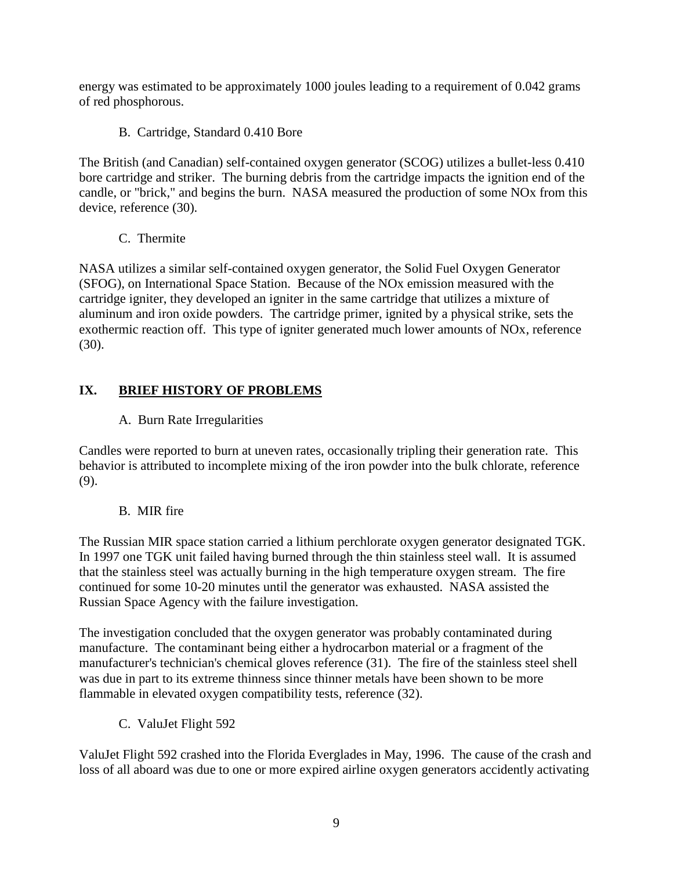energy was estimated to be approximately 1000 joules leading to a requirement of 0.042 grams of red phosphorous.

B. Cartridge, Standard 0.410 Bore

The British (and Canadian) self-contained oxygen generator (SCOG) utilizes a bullet-less 0.410 bore cartridge and striker. The burning debris from the cartridge impacts the ignition end of the candle, or "brick," and begins the burn. NASA measured the production of some NOx from this device, reference (30).

C. Thermite

NASA utilizes a similar self-contained oxygen generator, the Solid Fuel Oxygen Generator (SFOG), on International Space Station. Because of the NOx emission measured with the cartridge igniter, they developed an igniter in the same cartridge that utilizes a mixture of aluminum and iron oxide powders. The cartridge primer, ignited by a physical strike, sets the exothermic reaction off. This type of igniter generated much lower amounts of NOx, reference (30).

# **IX. BRIEF HISTORY OF PROBLEMS**

# A. Burn Rate Irregularities

Candles were reported to burn at uneven rates, occasionally tripling their generation rate. This behavior is attributed to incomplete mixing of the iron powder into the bulk chlorate, reference (9).

# B. MIR fire

The Russian MIR space station carried a lithium perchlorate oxygen generator designated TGK. In 1997 one TGK unit failed having burned through the thin stainless steel wall. It is assumed that the stainless steel was actually burning in the high temperature oxygen stream. The fire continued for some 10-20 minutes until the generator was exhausted. NASA assisted the Russian Space Agency with the failure investigation.

The investigation concluded that the oxygen generator was probably contaminated during manufacture. The contaminant being either a hydrocarbon material or a fragment of the manufacturer's technician's chemical gloves reference (31). The fire of the stainless steel shell was due in part to its extreme thinness since thinner metals have been shown to be more flammable in elevated oxygen compatibility tests, reference (32).

C. ValuJet Flight 592

ValuJet Flight 592 crashed into the Florida Everglades in May, 1996. The cause of the crash and loss of all aboard was due to one or more expired airline oxygen generators accidently activating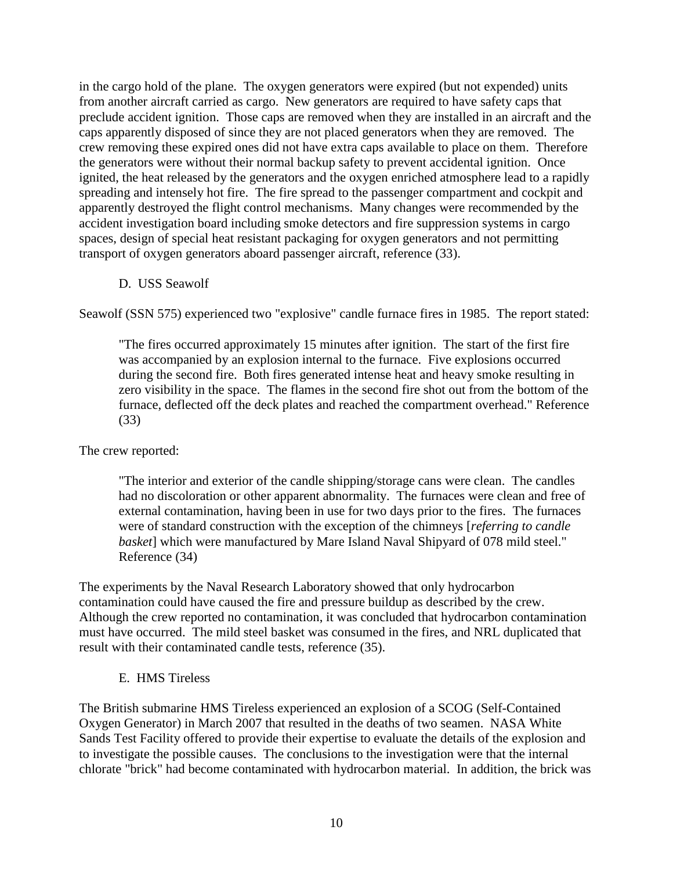in the cargo hold of the plane. The oxygen generators were expired (but not expended) units from another aircraft carried as cargo. New generators are required to have safety caps that preclude accident ignition. Those caps are removed when they are installed in an aircraft and the caps apparently disposed of since they are not placed generators when they are removed. The crew removing these expired ones did not have extra caps available to place on them. Therefore the generators were without their normal backup safety to prevent accidental ignition. Once ignited, the heat released by the generators and the oxygen enriched atmosphere lead to a rapidly spreading and intensely hot fire. The fire spread to the passenger compartment and cockpit and apparently destroyed the flight control mechanisms. Many changes were recommended by the accident investigation board including smoke detectors and fire suppression systems in cargo spaces, design of special heat resistant packaging for oxygen generators and not permitting transport of oxygen generators aboard passenger aircraft, reference (33).

D. USS Seawolf

Seawolf (SSN 575) experienced two "explosive" candle furnace fires in 1985. The report stated:

"The fires occurred approximately 15 minutes after ignition. The start of the first fire was accompanied by an explosion internal to the furnace. Five explosions occurred during the second fire. Both fires generated intense heat and heavy smoke resulting in zero visibility in the space. The flames in the second fire shot out from the bottom of the furnace, deflected off the deck plates and reached the compartment overhead." Reference (33)

The crew reported:

"The interior and exterior of the candle shipping/storage cans were clean. The candles had no discoloration or other apparent abnormality. The furnaces were clean and free of external contamination, having been in use for two days prior to the fires. The furnaces were of standard construction with the exception of the chimneys [*referring to candle basket*] which were manufactured by Mare Island Naval Shipyard of 078 mild steel." Reference (34)

The experiments by the Naval Research Laboratory showed that only hydrocarbon contamination could have caused the fire and pressure buildup as described by the crew. Although the crew reported no contamination, it was concluded that hydrocarbon contamination must have occurred. The mild steel basket was consumed in the fires, and NRL duplicated that result with their contaminated candle tests, reference (35).

E. HMS Tireless

The British submarine HMS Tireless experienced an explosion of a SCOG (Self-Contained Oxygen Generator) in March 2007 that resulted in the deaths of two seamen. NASA White Sands Test Facility offered to provide their expertise to evaluate the details of the explosion and to investigate the possible causes. The conclusions to the investigation were that the internal chlorate "brick" had become contaminated with hydrocarbon material. In addition, the brick was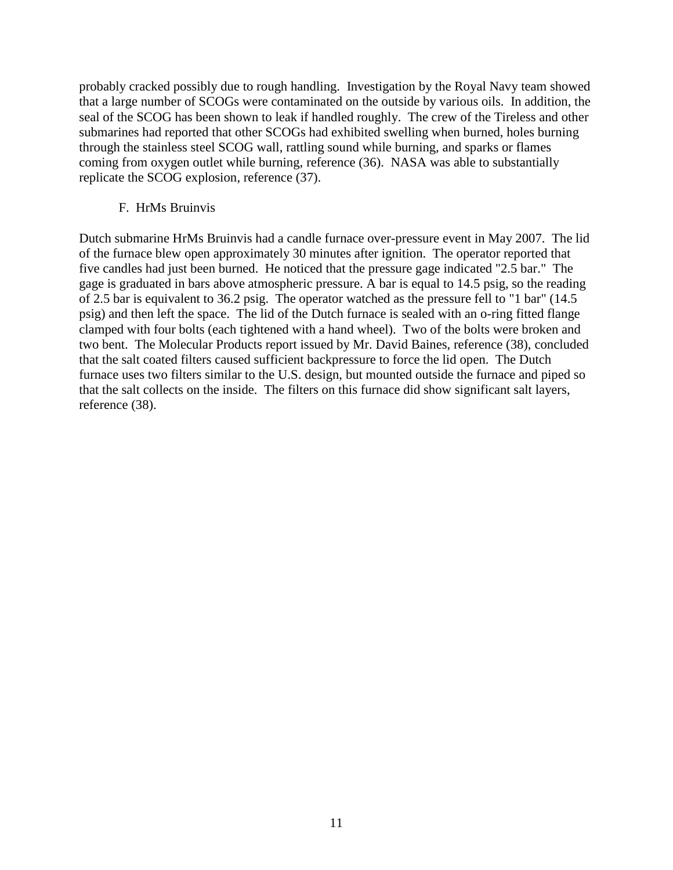probably cracked possibly due to rough handling. Investigation by the Royal Navy team showed that a large number of SCOGs were contaminated on the outside by various oils. In addition, the seal of the SCOG has been shown to leak if handled roughly. The crew of the Tireless and other submarines had reported that other SCOGs had exhibited swelling when burned, holes burning through the stainless steel SCOG wall, rattling sound while burning, and sparks or flames coming from oxygen outlet while burning, reference (36). NASA was able to substantially replicate the SCOG explosion, reference (37).

#### F. HrMs Bruinvis

Dutch submarine HrMs Bruinvis had a candle furnace over-pressure event in May 2007. The lid of the furnace blew open approximately 30 minutes after ignition. The operator reported that five candles had just been burned. He noticed that the pressure gage indicated "2.5 bar." The gage is graduated in bars above atmospheric pressure. A bar is equal to 14.5 psig, so the reading of 2.5 bar is equivalent to 36.2 psig. The operator watched as the pressure fell to "1 bar" (14.5 psig) and then left the space. The lid of the Dutch furnace is sealed with an o-ring fitted flange clamped with four bolts (each tightened with a hand wheel). Two of the bolts were broken and two bent. The Molecular Products report issued by Mr. David Baines, reference (38), concluded that the salt coated filters caused sufficient backpressure to force the lid open. The Dutch furnace uses two filters similar to the U.S. design, but mounted outside the furnace and piped so that the salt collects on the inside. The filters on this furnace did show significant salt layers, reference (38).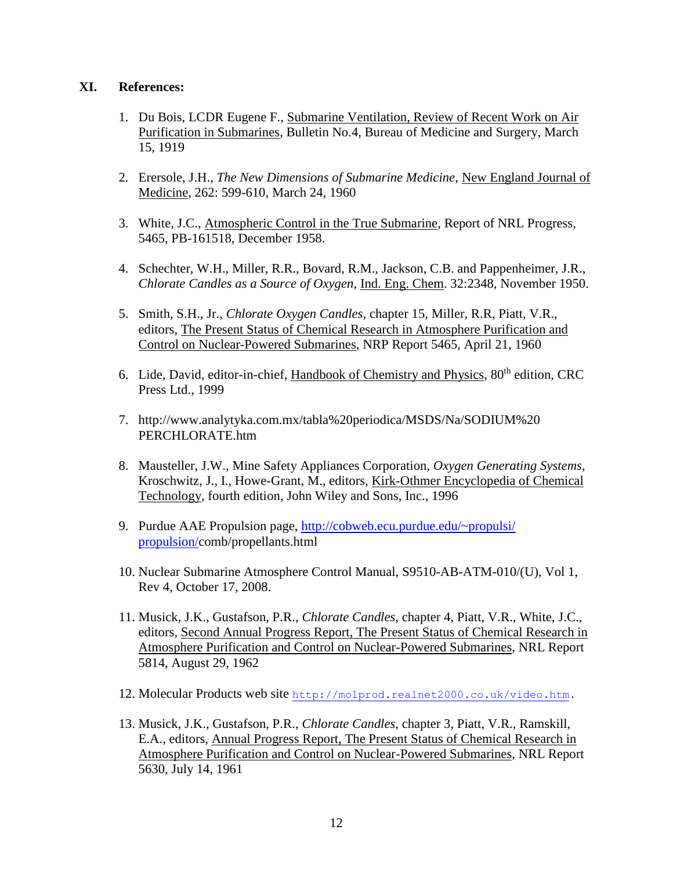#### **XI. References:**

- 1. Du Bois, LCDR Eugene F., Submarine Ventilation, Review of Recent Work on Air Purification in Submarines, Bulletin No.4, Bureau of Medicine and Surgery, March 15, 1919
- 2. Erersole, J.H., *The New Dimensions of Submarine Medicine*, New England Journal of Medicine, 262: 599-610, March 24, 1960
- 3. White, J.C., Atmospheric Control in the True Submarine, Report of NRL Progress, 5465, PB-161518, December 1958.
- 4. Schechter, W.H., Miller, R.R., Bovard, R.M., Jackson, C.B. and Pappenheimer, J.R., *Chlorate Candles as a Source of Oxygen*, Ind. Eng. Chem. 32:2348, November 1950.
- 5. Smith, S.H., Jr., *Chlorate Oxygen Candles*, chapter 15, Miller, R.R, Piatt, V.R., editors, The Present Status of Chemical Research in Atmosphere Purification and Control on Nuclear-Powered Submarines, NRP Report 5465, April 21, 1960
- 6. Lide, David, editor-in-chief, Handbook of Chemistry and Physics, 80<sup>th</sup> edition, CRC Press Ltd., 1999
- 7. http://www.analytyka.com.mx/tabla%20periodica/MSDS/Na/SODIUM%20 PERCHLORATE.htm
- 8. Mausteller, J.W., Mine Safety Appliances Corporation, *Oxygen Generating Systems*, Kroschwitz, J., I., Howe-Grant, M., editors, Kirk-Othmer Encyclopedia of Chemical Technology, fourth edition, John Wiley and Sons, Inc., 1996
- 9. Purdue AAE Propulsion page, [http://cobweb.ecu.purdue.edu/~propulsi/](http://cobweb.ecu.purdue.edu/~propulsi/%20propulsion/)  [propulsion/c](http://cobweb.ecu.purdue.edu/~propulsi/%20propulsion/)omb/propellants.html
- 10. Nuclear Submarine Atmosphere Control Manual, S9510-AB-ATM-010/(U), Vol 1, Rev 4, October 17, 2008.
- 11. Musick, J.K., Gustafson, P.R., *Chlorate Candles*, chapter 4, Piatt, V.R., White, J.C., editors, Second Annual Progress Report, The Present Status of Chemical Research in Atmosphere Purification and Control on Nuclear-Powered Submarines, NRL Report 5814, August 29, 1962
- 12. Molecular Products web site [http://molprod.realnet2000.co.uk/video.htm.](http://molprod.realnet2000.co.uk/video.htm)
- 13. Musick, J.K., Gustafson, P.R., *Chlorate Candles*, chapter 3, Piatt, V.R., Ramskill, E.A., editors, Annual Progress Report, The Present Status of Chemical Research in Atmosphere Purification and Control on Nuclear-Powered Submarines, NRL Report 5630, July 14, 1961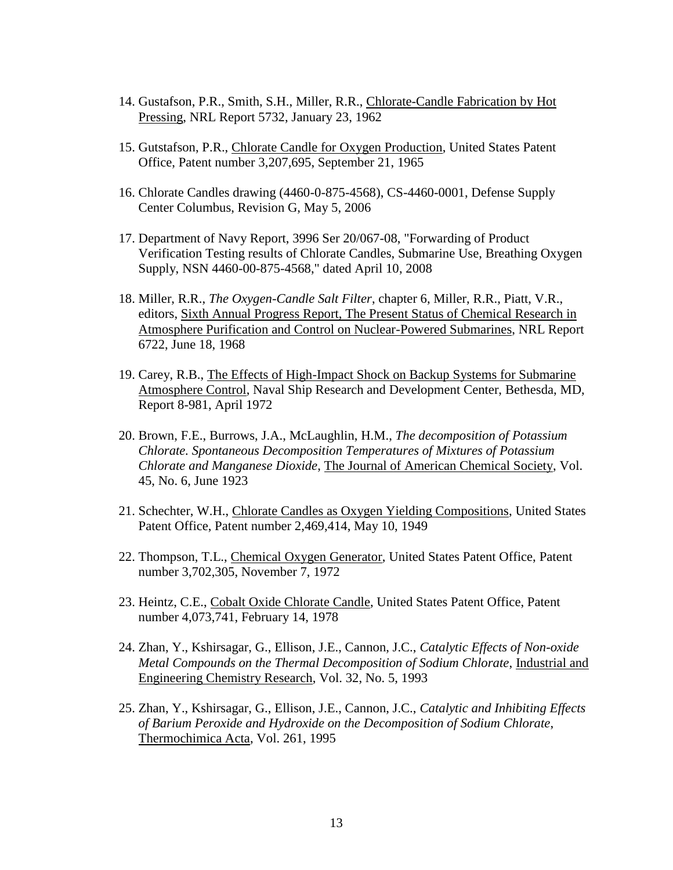- 14. Gustafson, P.R., Smith, S.H., Miller, R.R., Chlorate-Candle Fabrication by Hot Pressing, NRL Report 5732, January 23, 1962
- 15. Gutstafson, P.R., Chlorate Candle for Oxygen Production, United States Patent Office, Patent number 3,207,695, September 21, 1965
- 16. Chlorate Candles drawing (4460-0-875-4568), CS-4460-0001, Defense Supply Center Columbus, Revision G, May 5, 2006
- 17. Department of Navy Report, 3996 Ser 20/067-08, "Forwarding of Product Verification Testing results of Chlorate Candles, Submarine Use, Breathing Oxygen Supply, NSN 4460-00-875-4568," dated April 10, 2008
- 18. Miller, R.R., *The Oxygen-Candle Salt Filter*, chapter 6, Miller, R.R., Piatt, V.R., editors, Sixth Annual Progress Report, The Present Status of Chemical Research in Atmosphere Purification and Control on Nuclear-Powered Submarines, NRL Report 6722, June 18, 1968
- 19. Carey, R.B., The Effects of High-Impact Shock on Backup Systems for Submarine Atmosphere Control, Naval Ship Research and Development Center, Bethesda, MD, Report 8-981, April 1972
- 20. Brown, F.E., Burrows, J.A., McLaughlin, H.M., *The decomposition of Potassium Chlorate. Spontaneous Decomposition Temperatures of Mixtures of Potassium Chlorate and Manganese Dioxide*, The Journal of American Chemical Society, Vol. 45, No. 6, June 1923
- 21. Schechter, W.H., Chlorate Candles as Oxygen Yielding Compositions, United States Patent Office, Patent number 2,469,414, May 10, 1949
- 22. Thompson, T.L., Chemical Oxygen Generator, United States Patent Office, Patent number 3,702,305, November 7, 1972
- 23. Heintz, C.E., Cobalt Oxide Chlorate Candle, United States Patent Office, Patent number 4,073,741, February 14, 1978
- 24. Zhan, Y., Kshirsagar, G., Ellison, J.E., Cannon, J.C., *Catalytic Effects of Non-oxide Metal Compounds on the Thermal Decomposition of Sodium Chlorate*, Industrial and Engineering Chemistry Research, Vol. 32, No. 5, 1993
- 25. Zhan, Y., Kshirsagar, G., Ellison, J.E., Cannon, J.C., *Catalytic and Inhibiting Effects of Barium Peroxide and Hydroxide on the Decomposition of Sodium Chlorate*, Thermochimica Acta, Vol. 261, 1995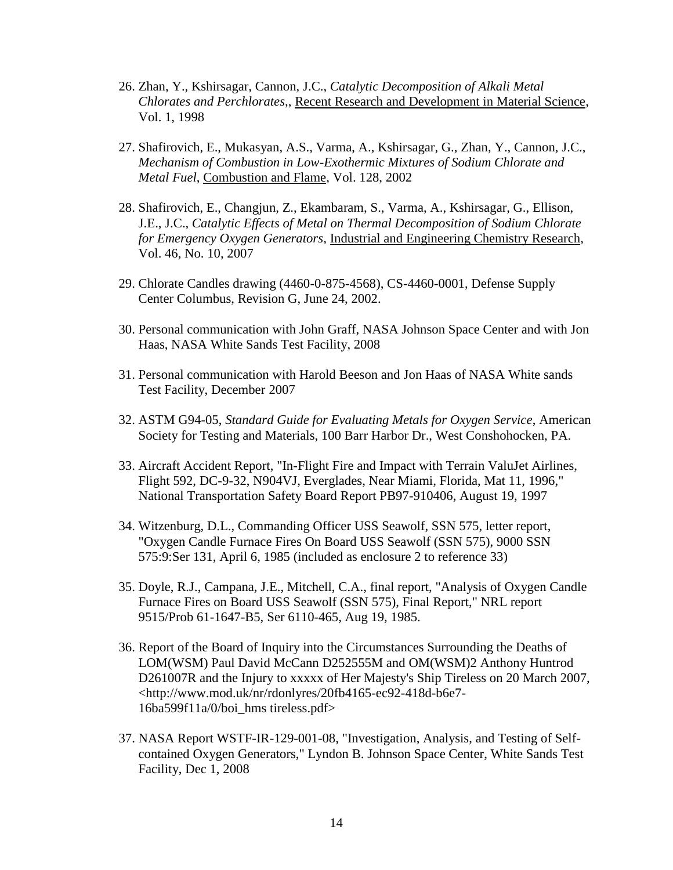- 26. Zhan, Y., Kshirsagar, Cannon, J.C., *Catalytic Decomposition of Alkali Metal Chlorates and Perchlorates,*, Recent Research and Development in Material Science, Vol. 1, 1998
- 27. Shafirovich, E., Mukasyan, A.S., Varma, A., Kshirsagar, G., Zhan, Y., Cannon, J.C., *Mechanism of Combustion in Low-Exothermic Mixtures of Sodium Chlorate and Metal Fuel*, Combustion and Flame, Vol. 128, 2002
- 28. Shafirovich, E., Changjun, Z., Ekambaram, S., Varma, A., Kshirsagar, G., Ellison, J.E., J.C., *Catalytic Effects of Metal on Thermal Decomposition of Sodium Chlorate for Emergency Oxygen Generators*, Industrial and Engineering Chemistry Research, Vol. 46, No. 10, 2007
- 29. Chlorate Candles drawing (4460-0-875-4568), CS-4460-0001, Defense Supply Center Columbus, Revision G, June 24, 2002.
- 30. Personal communication with John Graff, NASA Johnson Space Center and with Jon Haas, NASA White Sands Test Facility, 2008
- 31. Personal communication with Harold Beeson and Jon Haas of NASA White sands Test Facility, December 2007
- 32. ASTM G94-05, *Standard Guide for Evaluating Metals for Oxygen Service*, American Society for Testing and Materials, 100 Barr Harbor Dr., West Conshohocken, PA.
- 33. Aircraft Accident Report, "In-Flight Fire and Impact with Terrain ValuJet Airlines, Flight 592, DC-9-32, N904VJ, Everglades, Near Miami, Florida, Mat 11, 1996," National Transportation Safety Board Report PB97-910406, August 19, 1997
- 34. Witzenburg, D.L., Commanding Officer USS Seawolf, SSN 575, letter report, "Oxygen Candle Furnace Fires On Board USS Seawolf (SSN 575), 9000 SSN 575:9:Ser 131, April 6, 1985 (included as enclosure 2 to reference 33)
- 35. Doyle, R.J., Campana, J.E., Mitchell, C.A., final report, "Analysis of Oxygen Candle Furnace Fires on Board USS Seawolf (SSN 575), Final Report," NRL report 9515/Prob 61-1647-B5, Ser 6110-465, Aug 19, 1985.
- 36. Report of the Board of Inquiry into the Circumstances Surrounding the Deaths of LOM(WSM) Paul David McCann D252555M and OM(WSM)2 Anthony Huntrod D261007R and the Injury to xxxxx of Her Majesty's Ship Tireless on 20 March 2007, <http://www.mod.uk/nr/rdonlyres/20fb4165-ec92-418d-b6e7- 16ba599f11a/0/boi\_hms tireless.pdf>
- 37. NASA Report WSTF-IR-129-001-08, "Investigation, Analysis, and Testing of Selfcontained Oxygen Generators," Lyndon B. Johnson Space Center, White Sands Test Facility, Dec 1, 2008